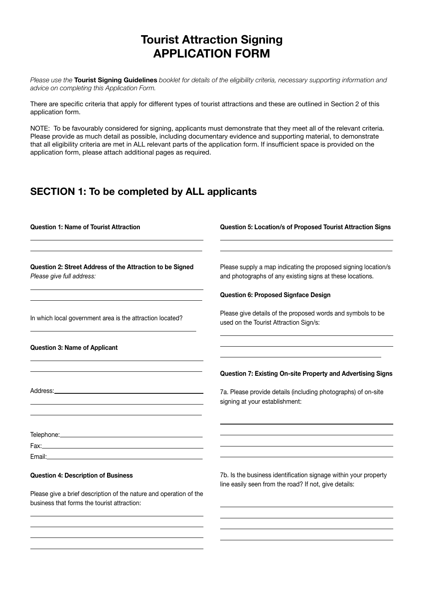## Tourist Attraction Signing APPLICATION FORM

Please use the Tourist Signing Guidelines booklet for details of the eligibility criteria, necessary supporting information and advice on completing this Application Form.

There are specific criteria that apply for different types of tourist attractions and these are outlined in Section 2 of this application form.

NOTE: To be favourably considered for signing, applicants must demonstrate that they meet all of the relevant criteria. Please provide as much detail as possible, including documentary evidence and supporting material, to demonstrate that all eligibility criteria are met in ALL relevant parts of the application form. If insufficient space is provided on the application form, please attach additional pages as required.

## SECTION 1: To be completed by ALL applicants

| <b>Question 1: Name of Tourist Attraction</b>                                                                     | Question 5: Location/s of Proposed Tourist Attraction Signs                                                                 |
|-------------------------------------------------------------------------------------------------------------------|-----------------------------------------------------------------------------------------------------------------------------|
| Question 2: Street Address of the Attraction to be Signed<br>Please give full address:                            | Please supply a map indicating the proposed signing location/s<br>and photographs of any existing signs at these locations. |
|                                                                                                                   | Question 6: Proposed Signface Design                                                                                        |
| In which local government area is the attraction located?                                                         | Please give details of the proposed words and symbols to be<br>used on the Tourist Attraction Sign/s:                       |
| <b>Question 3: Name of Applicant</b>                                                                              |                                                                                                                             |
|                                                                                                                   | Question 7: Existing On-site Property and Advertising Signs                                                                 |
|                                                                                                                   | 7a. Please provide details (including photographs) of on-site<br>signing at your establishment:                             |
|                                                                                                                   |                                                                                                                             |
|                                                                                                                   |                                                                                                                             |
| <b>Question 4: Description of Business</b>                                                                        | 7b. Is the business identification signage within your property<br>line easily seen from the road? If not, give details:    |
| Please give a brief description of the nature and operation of the<br>business that forms the tourist attraction: |                                                                                                                             |
|                                                                                                                   |                                                                                                                             |
|                                                                                                                   |                                                                                                                             |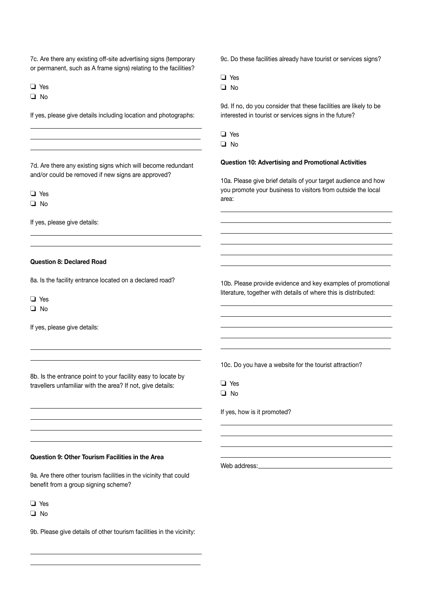7c. Are there any existing off-site advertising signs (temporary or permanent, such as A frame signs) relating to the facilities?

o Yes

 $\Box$  No

 $\overline{a}$  $\overline{a}$  $\overline{a}$ 

If yes, please give details including location and photographs:

7d. Are there any existing signs which will become redundant and/or could be removed if new signs are approved?

o Yes

 $\Box$  No

 $\overline{a}$  $\overline{a}$ 

If yes, please give details:

#### Question 8: Declared Road

8a. Is the facility entrance located on a declared road?

o Yes

 $\Box$  No

 $\overline{a}$  $\overline{a}$ 

 $\overline{a}$ 

If yes, please give details:

8b. Is the entrance point to your facility easy to locate by travellers unfamiliar with the area? If not, give details:

9c. Do these facilities already have tourist or services signs?

 $\Box$  Yes

 $\Box$  No

9d. If no, do you consider that these facilities are likely to be interested in tourist or services signs in the future?

o Yes

 $\Box$  No

 $\overline{a}$  $\overline{a}$  $\overline{a}$ 

 $\overline{a}$ 

 $\overline{a}$  $\overline{a}$  $\overline{a}$  $\overline{a}$  $\overline{a}$ 

#### Question 10: Advertising and Promotional Activities

10a. Please give brief details of your target audience and how you promote your business to visitors from outside the local area:

10b. Please provide evidence and key examples of promotional literature, together with details of where this is distributed:

10c. Do you have a website for the tourist attraction?

| Y<br>μς |
|---------|
| n<br>J  |

 $\overline{a}$ 

 $\overline{a}$ 

If yes, how is it promoted?

#### Question 9: Other Tourism Facilities in the Area

9a. Are there other tourism facilities in the vicinity that could benefit from a group signing scheme?

 $\Box$  Yes

 $\Box$  No

 $\overline{a}$  $\overline{a}$ 

9b. Please give details of other tourism facilities in the vicinity:

Web address: Web address: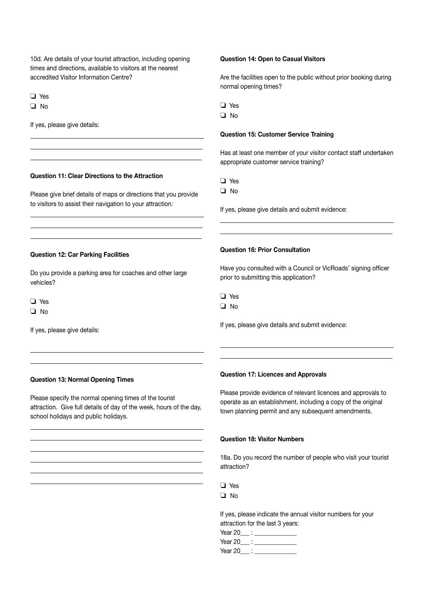10d. Are details of your tourist attraction, including opening times and directions, available to visitors at the nearest accredited Visitor Information Centre?

 $\Box$  Yes

 $\Box$  No

 $\overline{a}$  $\overline{a}$  $\overline{a}$ 

 $\overline{a}$  $\overline{a}$  $\overline{a}$ 

If yes, please give details:

#### Question 11: Clear Directions to the Attraction

Please give brief details of maps or directions that you provide to visitors to assist their navigation to your attraction*:*

#### Question 12: Car Parking Facilities

Do you provide a parking area for coaches and other large vehicles?

 $\Box$  Yes

 $\Box$  No

 $\overline{a}$  $\overline{a}$ 

 $\overline{a}$  $\overline{a}$  $\overline{a}$  $\overline{a}$  $\overline{a}$ 

If yes, please give details:

#### Question 14: Open to Casual Visitors

Are the facilities open to the public without prior booking during normal opening times?

o Yes

 $\Box$  No

#### Question 15: Customer Service Training

Has at least one member of your visitor contact staff undertaken appropriate customer service training?

o Yes

 $\Box$  No

 $\overline{a}$  $\overline{a}$ 

If yes, please give details and submit evidence:

#### Question 16: Prior Consultation

Have you consulted with a Council or VicRoads' signing officer prior to submitting this application?

 $\Box$  No

 $\overline{a}$  $\overline{a}$ 

If yes, please give details and submit evidence:

#### Question 13: Normal Opening Times

Please specify the normal opening times of the tourist attraction. Give full details of day of the week, hours of the day, school holidays and public holidays.

 $\overline{a}$ 

#### Question 17: Licences and Approvals

Please provide evidence of relevant licences and approvals to operate as an establishment, including a copy of the original town planning permit and any subsequent amendments.

#### Question 18: Visitor Numbers

18a. Do you record the number of people who visit your tourist attraction?

| ×<br>M.<br>۰.<br>۰, |
|---------------------|
|---------------------|

 $\Box$  No

If yes, please indicate the annual visitor numbers for your attraction for the last 3 years:

Year 20\_\_\_ : \_\_\_\_\_\_\_\_\_\_\_\_\_\_

 $Year 20$  :

Year 20\_\_\_ : \_\_\_\_\_\_\_\_\_\_\_\_\_\_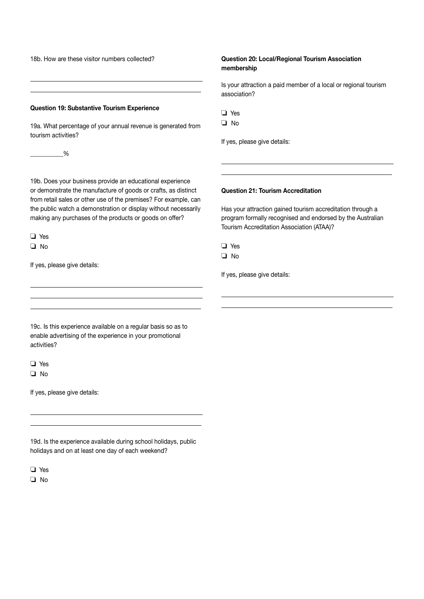18b. How are these visitor numbers collected?

#### Question 19: Substantive Tourism Experience

19a. What percentage of your annual revenue is generated from tourism activities?

 $\frac{1}{2}$ 

 $\overline{a}$  $\overline{a}$ 

19b. Does your business provide an educational experience or demonstrate the manufacture of goods or crafts, as distinct from retail sales or other use of the premises? For example, can the public watch a demonstration or display without necessarily making any purchases of the products or goods on offer?

 $\Box$  Yes  $\Box$  No

 $\overline{a}$ 

 $\overline{a}$ 

If yes, please give details:

#### Question 20: Local/Regional Tourism Association membership

Is your attraction a paid member of a local or regional tourism association?

| ×<br>۰, |  |
|---------|--|
|---------|--|

 $\overline{a}$  $\overline{a}$ 

If yes, please give details:

#### Question 21: Tourism Accreditation

Has your attraction gained tourism accreditation through a program formally recognised and endorsed by the Australian Tourism Accreditation Association (ATAA)?

| ۰.<br>۰, |
|----------|
|----------|

 $\Box$  No

 $\overline{a}$  $\overline{a}$ 

If yes, please give details:

19c. Is this experience available on a regular basis so as to enable advertising of the experience in your promotional activities?

 $\Box$  Yes  $\Box$  No

 $\overline{a}$  $\overline{a}$ 

If yes, please give details:

19d. Is the experience available during school holidays, public holidays and on at least one day of each weekend?

o Yes

 $\Box$  No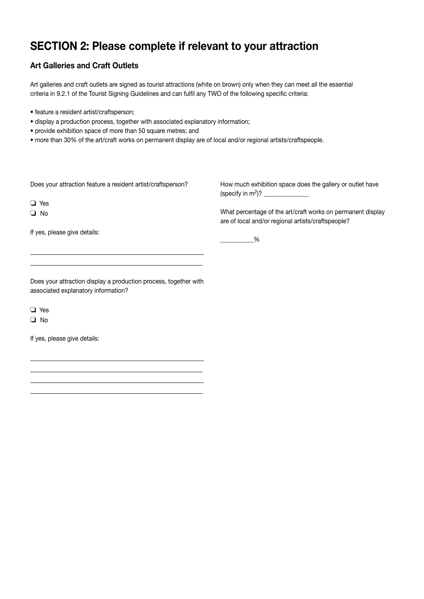# SECTION 2: Please complete if relevant to your attraction

## Art Galleries and Craft Outlets

Art galleries and craft outlets are signed as tourist attractions (white on brown) only when they can meet all the essential criteria in 9.2.1 of the Tourist Signing Guidelines and can fulfil any TWO of the following specific criteria:

- feature a resident artist/craftsperson;
- display a production process, together with associated explanatory information;
- provide exhibition space of more than 50 square metres; and
- more than 30% of the art/craft works on permanent display are of local and/or regional artists/craftspeople.

Does your attraction feature a resident artist/craftsperson?

o Yes

 $\Box$  No

 $\overline{a}$  $\overline{a}$ 

If yes, please give details:

How much exhibition space does the gallery or outlet have (specify in  $m^2$ )?

What percentage of the art/craft works on permanent display are of local and/or regional artists/craftspeople?

 $\%$ 

Does your attraction display a production process, together with associated explanatory information?

 $\Box$  Yes

 $\Box$  No

 $\overline{a}$  $\overline{a}$  $\overline{a}$  $\overline{a}$ 

If yes, please give details: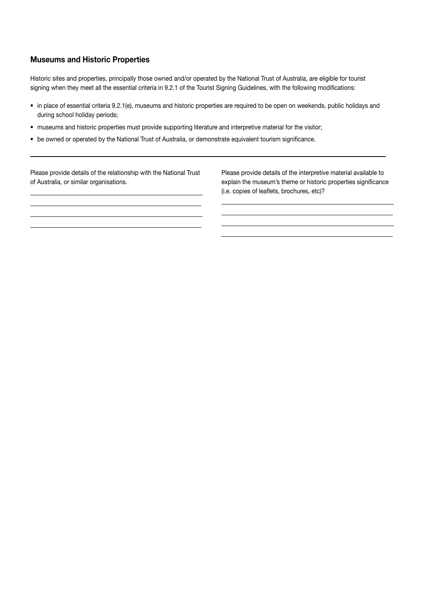### Museums and Historic Properties

 $\overline{a}$  $\overline{a}$  $\overline{a}$  $\overline{a}$ 

Historic sites and properties, principally those owned and/or operated by the National Trust of Australia, are eligible for tourist signing when they meet all the essential criteria in 9.2.1 of the Tourist Signing Guidelines, with the following modifications:

• in place of essential criteria 9.2.1(e), museums and historic properties are required to be open on weekends, public holidays and during school holiday periods;

> $\overline{a}$  $\overline{a}$  $\overline{a}$  $\overline{a}$

- museums and historic properties must provide supporting literature and interpretive material for the visitor;
- be owned or operated by the National Trust of Australia, or demonstrate equivalent tourism significance.

Please provide details of the relationship with the National Trust of Australia, or similar organisations.

Please provide details of the interpretive material available to explain the museum's theme or historic properties significance (i.e. copies of leaflets, brochures, etc)?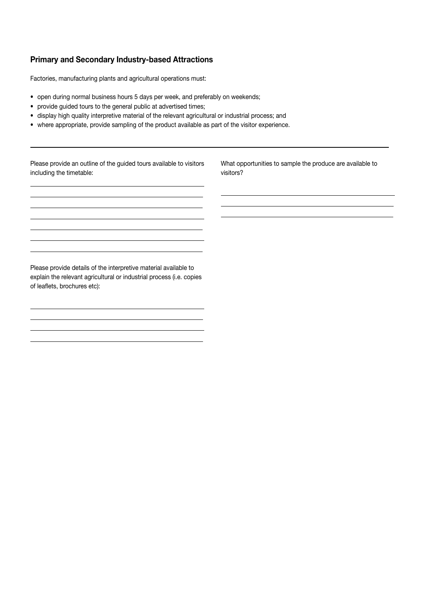## Primary and Secondary Industry-based Attractions

Factories, manufacturing plants and agricultural operations must:

- open during normal business hours 5 days per week, and preferably on weekends;
- provide guided tours to the general public at advertised times;
- display high quality interpretive material of the relevant agricultural or industrial process; and
- where appropriate, provide sampling of the product available as part of the visitor experience.

 $\overline{a}$  $\overline{a}$  $\overline{a}$ 

Please provide an outline of the guided tours available to visitors including the timetable:

 $\overline{a}$  $\overline{a}$  $\overline{a}$  $\overline{a}$  $\overline{a}$  $\overline{a}$  $\overline{a}$ 

 $\overline{a}$  $\overline{a}$  $\overline{a}$  $\overline{a}$  What opportunities to sample the produce are available to visitors?

Please provide details of the interpretive material available to explain the relevant agricultural or industrial process (i.e. copies of leaflets, brochures etc):